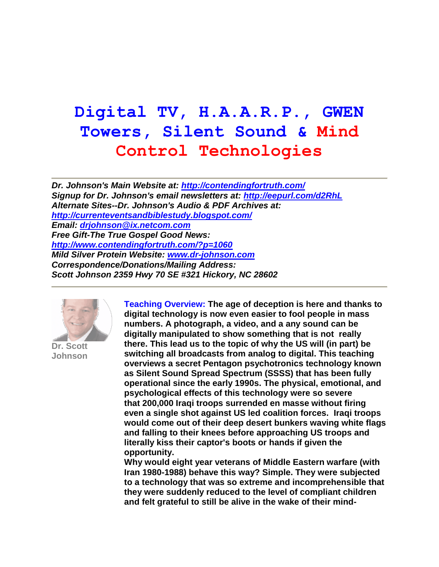# **Digital TV, H.A.A.R.P., GWEN Towers, Silent Sound & Mind Control Technologies**

*Dr. Johnson's Main Website at:<http://contendingfortruth.com/> Signup for Dr. Johnson's email newsletters at:<http://eepurl.com/d2RhL> Alternate Sites--Dr. Johnson's Audio & PDF Archives at: <http://currenteventsandbiblestudy.blogspot.com/> Email: [drjohnson@ix.netcom.com](mailto:drjohnson@ix.netcom.com) Free Gift-The True Gospel Good News: <http://www.contendingfortruth.com/?p=1060> Mild Silver Protein Website: [www.dr-johnson.com](http://www.dr-johnson.com/) Correspondence/Donations/Mailing Address: Scott Johnson 2359 Hwy 70 SE #321 Hickory, NC 28602*



**Dr. Scott Johnson**

**Teaching Overview: The age of deception is here and thanks to digital technology is now even easier to fool people in mass numbers. A photograph, a video, and a any sound can be digitally manipulated to show something that is not really there. This lead us to the topic of why the US will (in part) be switching all broadcasts from analog to digital. This teaching overviews a secret Pentagon psychotronics technology known as Silent Sound Spread Spectrum (SSSS) that has been fully operational since the early 1990s. The physical, emotional, and psychological effects of this technology were so severe that 200,000 Iraqi troops surrended en masse without firing even a single shot against US led coalition forces. Iraqi troops would come out of their deep desert bunkers waving white flags and falling to their knees before approaching US troops and literally kiss their captor's boots or hands if given the opportunity.** 

**Why would eight year veterans of Middle Eastern warfare (with Iran 1980-1988) behave this way? Simple. They were subjected to a technology that was so extreme and incomprehensible that they were suddenly reduced to the level of compliant children and felt grateful to still be alive in the wake of their mind-**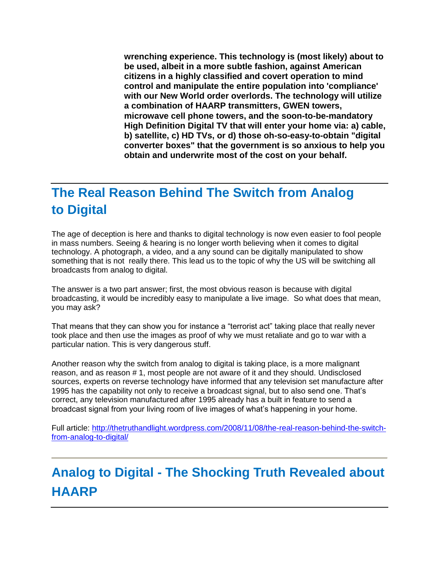**wrenching experience. This technology is (most likely) about to be used, albeit in a more subtle fashion, against American citizens in a highly classified and covert operation to mind control and manipulate the entire population into 'compliance' with our New World order overlords. The technology will utilize a combination of HAARP transmitters, GWEN towers, microwave cell phone towers, and the soon-to-be-mandatory High Definition Digital TV that will enter your home via: a) cable, b) satellite, c) HD TVs, or d) those oh-so-easy-to-obtain "digital converter boxes" that the government is so anxious to help you obtain and underwrite most of the cost on your behalf.**

## **The Real Reason Behind The Switch from Analog to Digital**

The age of deception is here and thanks to digital technology is now even easier to fool people in mass numbers. Seeing & hearing is no longer worth believing when it comes to digital technology. A photograph, a video, and a any sound can be digitally manipulated to show something that is not really there. This lead us to the topic of why the US will be switching all broadcasts from analog to digital.

The answer is a two part answer; first, the most obvious reason is because with digital broadcasting, it would be incredibly easy to manipulate a live image. So what does that mean, you may ask?

That means that they can show you for instance a "terrorist act" taking place that really never took place and then use the images as proof of why we must retaliate and go to war with a particular nation. This is very dangerous stuff.

Another reason why the switch from analog to digital is taking place, is a more malignant reason, and as reason # 1, most people are not aware of it and they should. Undisclosed sources, experts on reverse technology have informed that any television set manufacture after 1995 has the capability not only to receive a broadcast signal, but to also send one. That's correct, any television manufactured after 1995 already has a built in feature to send a broadcast signal from your living room of live images of what's happening in your home.

Full article: [http://thetruthandlight.wordpress.com/2008/11/08/the-real-reason-behind-the-switch](http://thetruthandlight.wordpress.com/2008/11/08/the-real-reason-behind-the-switch-from-analog-to-digital/)[from-analog-to-digital/](http://thetruthandlight.wordpress.com/2008/11/08/the-real-reason-behind-the-switch-from-analog-to-digital/)

# **Analog to Digital - The Shocking Truth Revealed about HAARP**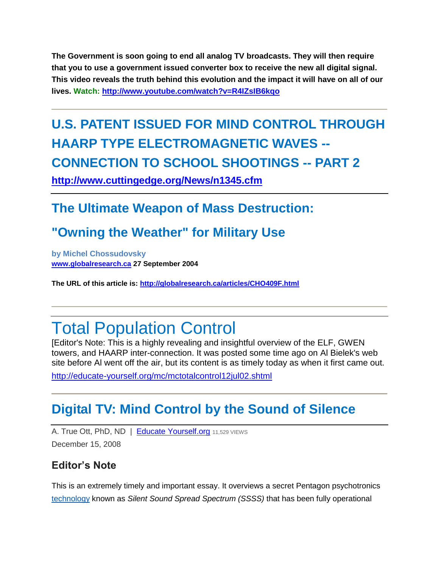**The Government is soon going to end all analog TV broadcasts. They will then require that you to use a government issued converter box to receive the new all digital signal. This video reveals the truth behind this evolution and the impact it will have on all of our lives. Watch: <http://www.youtube.com/watch?v=R4IZsIB6kqo>**

# **U.S. PATENT ISSUED FOR MIND CONTROL THROUGH HAARP TYPE ELECTROMAGNETIC WAVES -- CONNECTION TO SCHOOL SHOOTINGS -- PART 2**

**<http://www.cuttingedge.org/News/n1345.cfm>**

## **The Ultimate Weapon of Mass Destruction:**

## **"Owning the Weather" for Military Use**

**by Michel Chossudovsky [www.globalresearch.ca](http://globalresearch.ca/) 27 September 2004**

**The URL of this article is: [http://globalresearch.ca/articles/CHO409F.html](http://globalresearch.ca/articlesCHO409F.html)**

# Total Population Control

[Editor's Note: This is a highly revealing and insightful overview of the ELF, GWEN towers, and HAARP inter-connection. It was posted some time ago on Al Bielek's web site before Al went off the air, but its content is as timely today as when it first came out.

<http://educate-yourself.org/mc/mctotalcontrol12jul02.shtml>

## **[Digital TV: Mind Control by the Sound of Silence](http://www.wariscrime.com/2008/12/15/news/digital-tv-mind-control-by-the-sound-of-silence/)**

A. True Ott, PhD, ND | [Educate Yourself.org](http://educate-yourself.org/cn/soundsofsilence11dec08.shtml) 11,529 VIEWS December 15, 2008

### **Editor's Note**

This is an extremely timely and important essay. It overviews a secret Pentagon psychotronics [technology](http://www.wariscrime.com/2008/12/15/news/digital-tv-mind-control-by-the-sound-of-silence/) known as *Silent Sound Spread Spectrum (SSSS)* that has been fully operational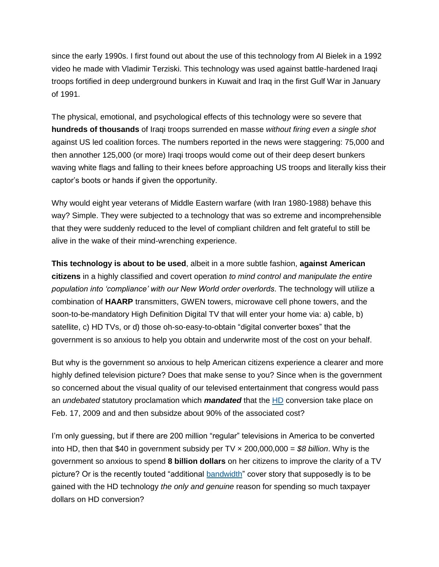since the early 1990s. I first found out about the use of this technology from Al Bielek in a 1992 video he made with Vladimir Terziski. This technology was used against battle-hardened Iraqi troops fortified in deep underground bunkers in Kuwait and Iraq in the first Gulf War in January of 1991.

The physical, emotional, and psychological effects of this technology were so severe that **hundreds of thousands** of Iraqi troops surrended en masse *without firing even a single shot* against US led coalition forces. The numbers reported in the news were staggering: 75,000 and then annother 125,000 (or more) Iraqi troops would come out of their deep desert bunkers waving white flags and falling to their knees before approaching US troops and literally kiss their captor's boots or hands if given the opportunity.

Why would eight year veterans of Middle Eastern warfare (with Iran 1980-1988) behave this way? Simple. They were subjected to a technology that was so extreme and incomprehensible that they were suddenly reduced to the level of compliant children and felt grateful to still be alive in the wake of their mind-wrenching experience.

**This technology is about to be used**, albeit in a more subtle fashion, **against American citizens** in a highly classified and covert operation *to mind control and manipulate the entire population into 'compliance' with our New World order overlords*. The technology will utilize a combination of **HAARP** transmitters, GWEN towers, microwave cell phone towers, and the soon-to-be-mandatory High Definition Digital TV that will enter your home via: a) cable, b) satellite, c) HD TVs, or d) those oh-so-easy-to-obtain "digital converter boxes" that the government is so anxious to help you obtain and underwrite most of the cost on your behalf.

But why is the government so anxious to help American citizens experience a clearer and more highly defined television picture? Does that make sense to you? Since when is the government so concerned about the visual quality of our televised entertainment that congress would pass an *undebated* statutory proclamation which *mandated* that the [HD](http://www.wariscrime.com/2008/12/15/news/digital-tv-mind-control-by-the-sound-of-silence/) conversion take place on Feb. 17, 2009 and and then subsidze about 90% of the associated cost?

I'm only guessing, but if there are 200 million "regular" televisions in America to be converted into HD, then that \$40 in government subsidy per TV × 200,000,000 = *\$8 billion*. Why is the government so anxious to spend **8 billion dollars** on her citizens to improve the clarity of a TV picture? Or is the recently touted "additional [bandwidth"](http://www.wariscrime.com/2008/12/15/news/digital-tv-mind-control-by-the-sound-of-silence/) cover story that supposedly is to be gained with the HD technology *the only and genuine* reason for spending so much taxpayer dollars on HD conversion?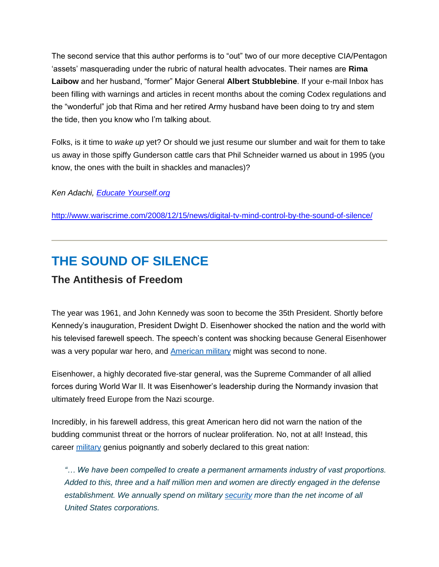The second service that this author performs is to "out" two of our more deceptive CIA/Pentagon 'assets' masquerading under the rubric of natural health advocates. Their names are **Rima Laibow** and her husband, "former" Major General **Albert Stubblebine**. If your e-mail Inbox has been filling with warnings and articles in recent months about the coming Codex regulations and the "wonderful" job that Rima and her retired Army husband have been doing to try and stem the tide, then you know who I'm talking about.

Folks, is it time to *wake up* yet? Or should we just resume our slumber and wait for them to take us away in those spiffy Gunderson cattle cars that Phil Schneider warned us about in 1995 (you know, the ones with the built in shackles and manacles)?

*Ken Adachi, [Educate Yourself.org](http://educate-yourself.org/)*

<http://www.wariscrime.com/2008/12/15/news/digital-tv-mind-control-by-the-sound-of-silence/>

## **THE SOUND OF SILENCE**

### **The Antithesis of Freedom**

The year was 1961, and John Kennedy was soon to become the 35th President. Shortly before Kennedy's inauguration, President Dwight D. Eisenhower shocked the nation and the world with his televised farewell speech. The speech's content was shocking because General Eisenhower was a very popular war hero, and [American military](http://www.wariscrime.com/2008/12/15/news/digital-tv-mind-control-by-the-sound-of-silence/) might was second to none.

Eisenhower, a highly decorated five-star general, was the Supreme Commander of all allied forces during World War II. It was Eisenhower's leadership during the Normandy invasion that ultimately freed Europe from the Nazi scourge.

Incredibly, in his farewell address, this great American hero did not warn the nation of the budding communist threat or the horrors of nuclear proliferation. No, not at all! Instead, this career [military](http://www.wariscrime.com/2008/12/15/news/digital-tv-mind-control-by-the-sound-of-silence/) genius poignantly and soberly declared to this great nation:

*"… We have been compelled to create a permanent armaments industry of vast proportions. Added to this, three and a half million men and women are directly engaged in the defense establishment. We annually spend on military [security](http://www.wariscrime.com/2008/12/15/news/digital-tv-mind-control-by-the-sound-of-silence/) more than the net income of all United States corporations.*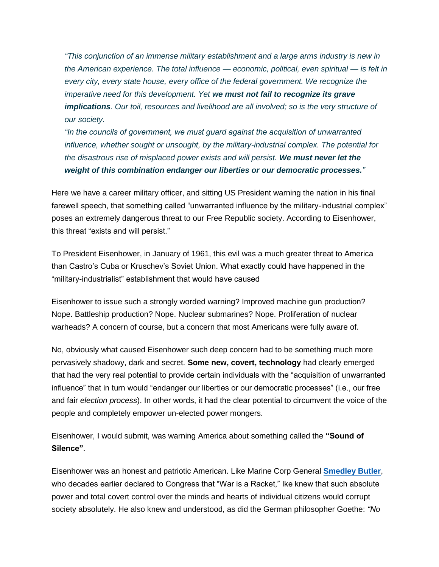*"This conjunction of an immense military establishment and a large arms industry is new in the American experience. The total influence — economic, political, even spiritual — is felt in every city, every state house, every office of the federal government. We recognize the imperative need for this development. Yet we must not fail to recognize its grave implications. Our toil, resources and livelihood are all involved; so is the very structure of our society.*

*"In the councils of government, we must guard against the acquisition of unwarranted influence, whether sought or unsought, by the military-industrial complex. The potential for the disastrous rise of misplaced power exists and will persist. We must never let the weight of this combination endanger our liberties or our democratic processes."*

Here we have a career military officer, and sitting US President warning the nation in his final farewell speech, that something called "unwarranted influence by the military-industrial complex" poses an extremely dangerous threat to our Free Republic society. According to Eisenhower, this threat "exists and will persist."

To President Eisenhower, in January of 1961, this evil was a much greater threat to America than Castro's Cuba or Kruschev's Soviet Union. What exactly could have happened in the "military-industrialist" establishment that would have caused

Eisenhower to issue such a strongly worded warning? Improved machine gun production? Nope. Battleship production? Nope. Nuclear submarines? Nope. Proliferation of nuclear warheads? A concern of course, but a concern that most Americans were fully aware of.

No, obviously what caused Eisenhower such deep concern had to be something much more pervasively shadowy, dark and secret. **Some new, covert, technology** had clearly emerged that had the very real potential to provide certain individuals with the "acquisition of unwarranted influence" that in turn would "endanger our liberties or our democratic processes" (i.e., our free and fair *election process*). In other words, it had the clear potential to circumvent the voice of the people and completely empower un-elected power mongers.

Eisenhower, I would submit, was warning America about something called the **"Sound of Silence"**.

Eisenhower was an honest and patriotic American. Like Marine Corp General **[Smedley Butler](http://www.wariscrime.com/2008/09/28/news/to-hell-with-war/)**, who decades earlier declared to Congress that "War is a Racket," Ike knew that such absolute power and total covert control over the minds and hearts of individual citizens would corrupt society absolutely. He also knew and understood, as did the German philosopher Goethe: *"No*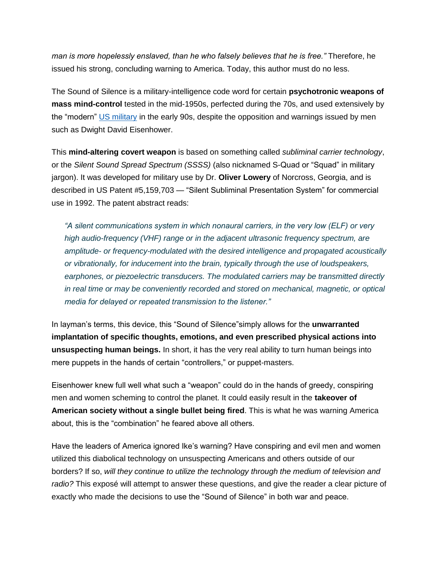*man is more hopelessly enslaved, than he who falsely believes that he is free."* Therefore, he issued his strong, concluding warning to America. Today, this author must do no less.

The Sound of Silence is a military-intelligence code word for certain **psychotronic weapons of mass mind-control** tested in the mid-1950s, perfected during the 70s, and used extensively by the "modern" [US military](http://www.wariscrime.com/2008/12/15/news/digital-tv-mind-control-by-the-sound-of-silence/) in the early 90s, despite the opposition and warnings issued by men such as Dwight David Eisenhower.

This **mind-altering covert weapon** is based on something called *subliminal carrier technology*, or the *Silent Sound Spread Spectrum (SSSS)* (also nicknamed S-Quad or "Squad" in military jargon). It was developed for military use by Dr. **Oliver Lowery** of Norcross, Georgia, and is described in US Patent #5,159,703 — "Silent Subliminal Presentation System" for commercial use in 1992. The patent abstract reads:

*"A silent communications system in which nonaural carriers, in the very low (ELF) or very high audio-frequency (VHF) range or in the adjacent ultrasonic frequency spectrum, are amplitude- or frequency-modulated with the desired intelligence and propagated acoustically or vibrationally, for inducement into the brain, typically through the use of loudspeakers, earphones, or piezoelectric transducers. The modulated carriers may be transmitted directly in real time or may be conveniently recorded and stored on mechanical, magnetic, or optical media for delayed or repeated transmission to the listener."*

In layman's terms, this device, this "Sound of Silence"simply allows for the **unwarranted implantation of specific thoughts, emotions, and even prescribed physical actions into unsuspecting human beings.** In short, it has the very real ability to turn human beings into mere puppets in the hands of certain "controllers," or puppet-masters.

Eisenhower knew full well what such a "weapon" could do in the hands of greedy, conspiring men and women scheming to control the planet. It could easily result in the **takeover of American society without a single bullet being fired**. This is what he was warning America about, this is the "combination" he feared above all others.

Have the leaders of America ignored Ike's warning? Have conspiring and evil men and women utilized this diabolical technology on unsuspecting Americans and others outside of our borders? If so, *will they continue to utilize the technology through the medium of television and radio?* This exposé will attempt to answer these questions, and give the reader a clear picture of exactly who made the decisions to use the "Sound of Silence" in both war and peace.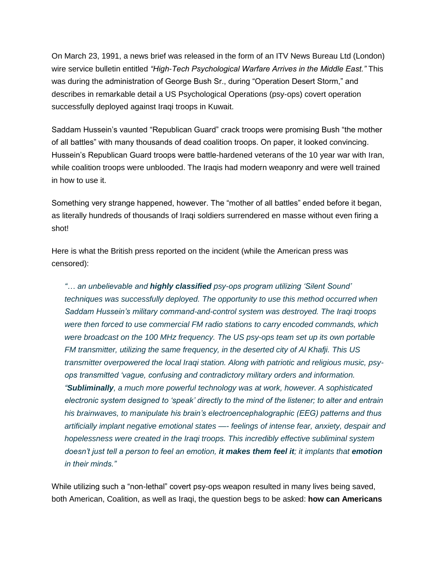On March 23, 1991, a news brief was released in the form of an ITV News Bureau Ltd (London) wire service bulletin entitled *"High-Tech Psychological Warfare Arrives in the Middle East."* This was during the administration of George Bush Sr., during "Operation Desert Storm," and describes in remarkable detail a US Psychological Operations (psy-ops) covert operation successfully deployed against Iraqi troops in Kuwait.

Saddam Hussein's vaunted "Republican Guard" crack troops were promising Bush "the mother of all battles" with many thousands of dead coalition troops. On paper, it looked convincing. Hussein's Republican Guard troops were battle-hardened veterans of the 10 year war with Iran, while coalition troops were unblooded. The Iraqis had modern weaponry and were well trained in how to use it.

Something very strange happened, however. The "mother of all battles" ended before it began, as literally hundreds of thousands of Iraqi soldiers surrendered en masse without even firing a shot!

Here is what the British press reported on the incident (while the American press was censored):

*"… an unbelievable and highly classified psy-ops program utilizing 'Silent Sound' techniques was successfully deployed. The opportunity to use this method occurred when Saddam Hussein's military command-and-control system was destroyed. The Iraqi troops were then forced to use commercial FM radio stations to carry encoded commands, which were broadcast on the 100 MHz frequency. The US psy-ops team set up its own portable FM transmitter, utilizing the same frequency, in the deserted city of Al Khafji. This US transmitter overpowered the local Iraqi station. Along with patriotic and religious music, psyops transmitted 'vague, confusing and contradictory military orders and information. "Subliminally, a much more powerful technology was at work, however. A sophisticated electronic system designed to 'speak' directly to the mind of the listener; to alter and entrain his brainwaves, to manipulate his brain's electroencephalographic (EEG) patterns and thus artificially implant negative emotional states —- feelings of intense fear, anxiety, despair and hopelessness were created in the Iraqi troops. This incredibly effective subliminal system doesn't just tell a person to feel an emotion, it makes them feel it; it implants that emotion in their minds."*

While utilizing such a "non-lethal" covert psy-ops weapon resulted in many lives being saved, both American, Coalition, as well as Iraqi, the question begs to be asked: **how can Americans**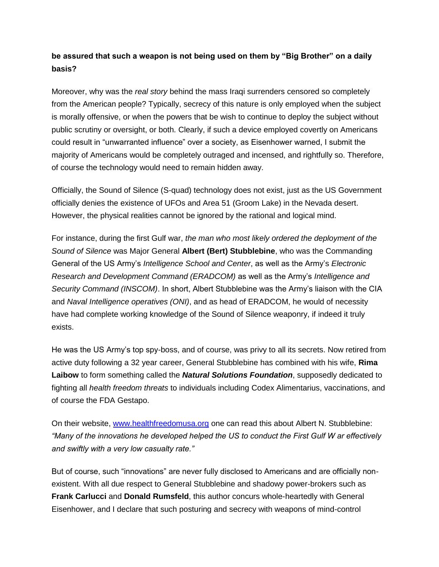### **be assured that such a weapon is not being used on them by "Big Brother" on a daily basis?**

Moreover, why was the *real story* behind the mass Iraqi surrenders censored so completely from the American people? Typically, secrecy of this nature is only employed when the subject is morally offensive, or when the powers that be wish to continue to deploy the subject without public scrutiny or oversight, or both. Clearly, if such a device employed covertly on Americans could result in "unwarranted influence" over a society, as Eisenhower warned, I submit the majority of Americans would be completely outraged and incensed, and rightfully so. Therefore, of course the technology would need to remain hidden away.

Officially, the Sound of Silence (S-quad) technology does not exist, just as the US Government officially denies the existence of UFOs and Area 51 (Groom Lake) in the Nevada desert. However, the physical realities cannot be ignored by the rational and logical mind.

For instance, during the first Gulf war, *the man who most likely ordered the deployment of the Sound of Silence* was Major General **Albert (Bert) Stubblebine**, who was the Commanding General of the US Army's *Intelligence School and Center*, as well as the Army's *Electronic Research and Development Command (ERADCOM)* as well as the Army's *Intelligence and Security Command (INSCOM)*. In short, Albert Stubblebine was the Army's liaison with the CIA and *Naval Intelligence operatives (ONI)*, and as head of ERADCOM, he would of necessity have had complete working knowledge of the Sound of Silence weaponry, if indeed it truly exists.

He was the US Army's top spy-boss, and of course, was privy to all its secrets. Now retired from active duty following a 32 year career, General Stubblebine has combined with his wife, **Rima Laibow** to form something called the *Natural Solutions Foundation*, supposedly dedicated to fighting all *health freedom threats* to individuals including Codex Alimentarius, vaccinations, and of course the FDA Gestapo.

On their website, [www.healthfreedomusa.org](http://www.healthfreedomusa.org/) one can read this about Albert N. Stubblebine: *"Many of the innovations he developed helped the US to conduct the First Gulf W ar effectively and swiftly with a very low casualty rate."*

But of course, such "innovations" are never fully disclosed to Americans and are officially nonexistent. With all due respect to General Stubblebine and shadowy power-brokers such as **Frank Carlucci** and **Donald Rumsfeld**, this author concurs whole-heartedly with General Eisenhower, and I declare that such posturing and secrecy with weapons of mind-control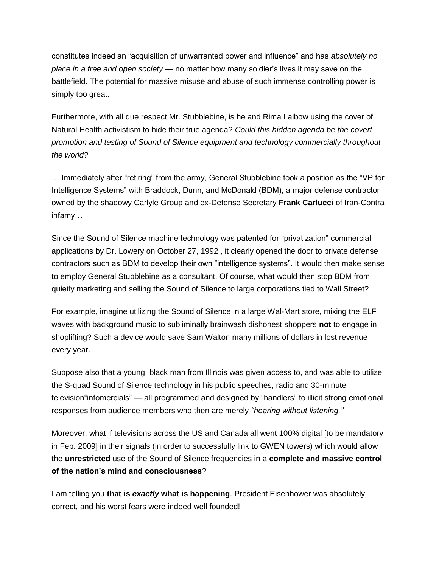constitutes indeed an "acquisition of unwarranted power and influence" and has *absolutely no place in a free and open society* — no matter how many soldier's lives it may save on the battlefield. The potential for massive misuse and abuse of such immense controlling power is simply too great.

Furthermore, with all due respect Mr. Stubblebine, is he and Rima Laibow using the cover of Natural Health activistism to hide their true agenda? *Could this hidden agenda be the covert promotion and testing of Sound of Silence equipment and technology commercially throughout the world?*

… Immediately after "retiring" from the army, General Stubblebine took a position as the "VP for Intelligence Systems" with Braddock, Dunn, and McDonald (BDM), a major defense contractor owned by the shadowy Carlyle Group and ex-Defense Secretary **Frank Carlucci** of Iran-Contra infamy…

Since the Sound of Silence machine technology was patented for "privatization" commercial applications by Dr. Lowery on October 27, 1992 , it clearly opened the door to private defense contractors such as BDM to develop their own "intelligence systems". It would then make sense to employ General Stubblebine as a consultant. Of course, what would then stop BDM from quietly marketing and selling the Sound of Silence to large corporations tied to Wall Street?

For example, imagine utilizing the Sound of Silence in a large Wal-Mart store, mixing the ELF waves with background music to subliminally brainwash dishonest shoppers **not** to engage in shoplifting? Such a device would save Sam Walton many millions of dollars in lost revenue every year.

Suppose also that a young, black man from Illinois was given access to, and was able to utilize the S-quad Sound of Silence technology in his public speeches, radio and 30-minute television"infomercials" — all programmed and designed by "handlers" to illicit strong emotional responses from audience members who then are merely *"hearing without listening."*

Moreover, what if televisions across the US and Canada all went 100% digital [to be mandatory in Feb. 2009] in their signals (in order to successfully link to GWEN towers) which would allow the **unrestricted** use of the Sound of Silence frequencies in a **complete and massive control of the nation's mind and consciousness**?

I am telling you **that is** *exactly* **what is happening**. President Eisenhower was absolutely correct, and his worst fears were indeed well founded!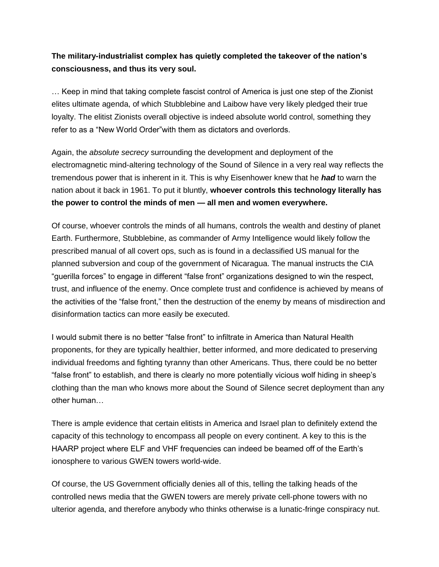### **The military-industrialist complex has quietly completed the takeover of the nation's consciousness, and thus its very soul.**

… Keep in mind that taking complete fascist control of America is just one step of the Zionist elites ultimate agenda, of which Stubblebine and Laibow have very likely pledged their true loyalty. The elitist Zionists overall objective is indeed absolute world control, something they refer to as a "New World Order"with them as dictators and overlords.

Again, the *absolute secrecy* surrounding the development and deployment of the electromagnetic mind-altering technology of the Sound of Silence in a very real way reflects the tremendous power that is inherent in it. This is why Eisenhower knew that he *had* to warn the nation about it back in 1961. To put it bluntly, **whoever controls this technology literally has the power to control the minds of men — all men and women everywhere.**

Of course, whoever controls the minds of all humans, controls the wealth and destiny of planet Earth. Furthermore, Stubblebine, as commander of Army Intelligence would likely follow the prescribed manual of all covert ops, such as is found in a declassified US manual for the planned subversion and coup of the government of Nicaragua. The manual instructs the CIA "guerilla forces" to engage in different "false front" organizations designed to win the respect, trust, and influence of the enemy. Once complete trust and confidence is achieved by means of the activities of the "false front," then the destruction of the enemy by means of misdirection and disinformation tactics can more easily be executed.

I would submit there is no better "false front" to infiltrate in America than Natural Health proponents, for they are typically healthier, better informed, and more dedicated to preserving individual freedoms and fighting tyranny than other Americans. Thus, there could be no better "false front" to establish, and there is clearly no more potentially vicious wolf hiding in sheep's clothing than the man who knows more about the Sound of Silence secret deployment than any other human…

There is ample evidence that certain elitists in America and Israel plan to definitely extend the capacity of this technology to encompass all people on every continent. A key to this is the HAARP project where ELF and VHF frequencies can indeed be beamed off of the Earth's ionosphere to various GWEN towers world-wide.

Of course, the US Government officially denies all of this, telling the talking heads of the controlled news media that the GWEN towers are merely private cell-phone towers with no ulterior agenda, and therefore anybody who thinks otherwise is a lunatic-fringe conspiracy nut.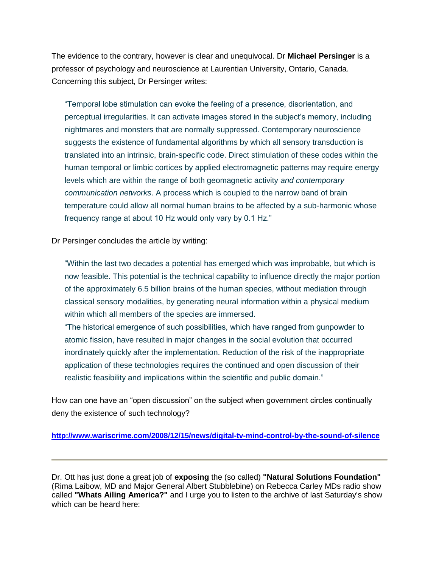The evidence to the contrary, however is clear and unequivocal. Dr **Michael Persinger** is a professor of psychology and neuroscience at Laurentian University, Ontario, Canada. Concerning this subject, Dr Persinger writes:

"Temporal lobe stimulation can evoke the feeling of a presence, disorientation, and perceptual irregularities. It can activate images stored in the subject's memory, including nightmares and monsters that are normally suppressed. Contemporary neuroscience suggests the existence of fundamental algorithms by which all sensory transduction is translated into an intrinsic, brain-specific code. Direct stimulation of these codes within the human temporal or limbic cortices by applied electromagnetic patterns may require energy levels which are within the range of both geomagnetic activity *and contemporary communication networks*. A process which is coupled to the narrow band of brain temperature could allow all normal human brains to be affected by a sub-harmonic whose frequency range at about 10 Hz would only vary by 0.1 Hz."

Dr Persinger concludes the article by writing:

"Within the last two decades a potential has emerged which was improbable, but which is now feasible. This potential is the technical capability to influence directly the major portion of the approximately 6.5 billion brains of the human species, without mediation through classical sensory modalities, by generating neural information within a physical medium within which all members of the species are immersed.

"The historical emergence of such possibilities, which have ranged from gunpowder to atomic fission, have resulted in major changes in the social evolution that occurred inordinately quickly after the implementation. Reduction of the risk of the inappropriate application of these technologies requires the continued and open discussion of their realistic feasibility and implications within the scientific and public domain."

How can one have an "open discussion" on the subject when government circles continually deny the existence of such technology?

**<http://www.wariscrime.com/2008/12/15/news/digital-tv-mind-control-by-the-sound-of-silence>**

Dr. Ott has just done a great job of **exposing** the (so called) **"Natural Solutions Foundation"** (Rima Laibow, MD and Major General Albert Stubblebine) on Rebecca Carley MDs radio show called **"Whats Ailing America?"** and I urge you to listen to the archive of last Saturday's show which can be heard here: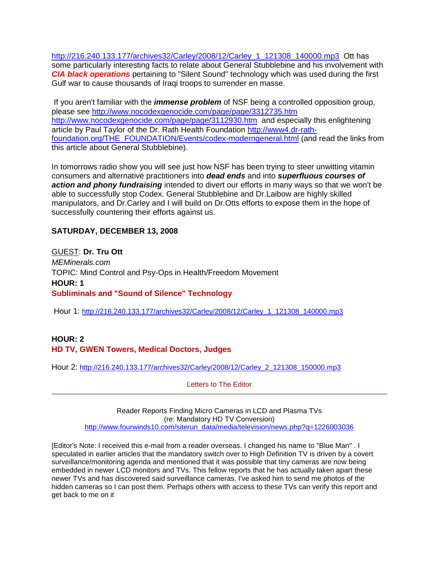[http://216.240.133.177/archives32/Carley/2008/12/Carley\\_1\\_121308\\_140000.mp3](http://216.240.133.177/archives32/Carley/2008/12/Carley_1_121308_140000.mp3) Ott has some particularly interesting facts to relate about General Stubblebine and his involvement with *CIA black operations* pertaining to "Silent Sound" technology which was used during the first Gulf war to cause thousands of Iraqi troops to surrender en masse.

If you aren't familiar with the *immense problem* of NSF being a controlled opposition group, please see<http://www.nocodexgenocide.com/page/page/3312735.htm> <http://www.nocodexgenocide.com/page/page/3112930.htm> and especially this enlightening article by Paul Taylor of the Dr. Rath Health Foundation [http://www4.dr-rath](http://www4.dr-rath-foundation.org/THE_FOUNDATION/Events/codex-moderngeneral.html)[foundation.org/THE\\_FOUNDATION/Events/codex-moderngeneral.html](http://www4.dr-rath-foundation.org/THE_FOUNDATION/Events/codex-moderngeneral.html) (and read the links from this article about General Stubblebine).

In tomorrows radio show you will see just how NSF has been trying to steer unwitting vitamin consumers and alternative practitioners into *dead ends* and into *superfluous courses of action and phony fundraising* intended to divert our efforts in many ways so that we won't be able to successfully stop Codex. General Stubblebine and Dr.Laibow are highly skilled manipulators, and Dr.Carley and I will build on Dr.Otts efforts to expose them in the hope of successfully countering their efforts against us.

#### **SATURDAY, DECEMBER 13, 2008**

GUEST: **Dr. Tru Ott** *MEMinerals.com* TOPIC: Mind Control and Psy-Ops in Health/Freedom Movement **HOUR: 1 Subliminals and "Sound of Silence" Technology**

Hour 1: [http://216.240.133.177/archives32/Carley/2008/12/Carley\\_1\\_121308\\_140000.mp3](http://216.240.133.177/archives32/Carley/2008/12/Carley_1_121308_140000.mp3)

#### **HOUR: 2 HD TV, GWEN Towers, Medical Doctors, Judges**

Hour 2: [http://216.240.133.177/archives32/Carley/2008/12/Carley\\_2\\_121308\\_150000.mp3](http://216.240.133.177/archives32/Carley/2008/12/Carley_2_121308_150000.mp3)

Letters to The Editor

Reader Reports Finding Micro Cameras in LCD and Plasma TVs (re: Mandatory HD TV Conversion) [http://www.fourwinds10.com/siterun\\_data/media/television/news.php?q=1226003036](http://www.fourwinds10.com/siterun_data/media/television/news.php?q=1226003036)

[Editor's Note: I received this e-mail from a reader overseas. I changed his name to "Blue Man" . I speculated in earlier articles that the mandatory switch over to High Definition TV is driven by a covert surveillance/monitoring agenda and mentioned that it was possible that tiny cameras are now being embedded in newer LCD monitors and TVs. This fellow reports that he has actually taken apart these newer TVs and has discovered said surveillance cameras. I've asked him to send me photos of the hidden cameras so I can post them. Perhaps others with access to these TVs can verify this report and get back to me on it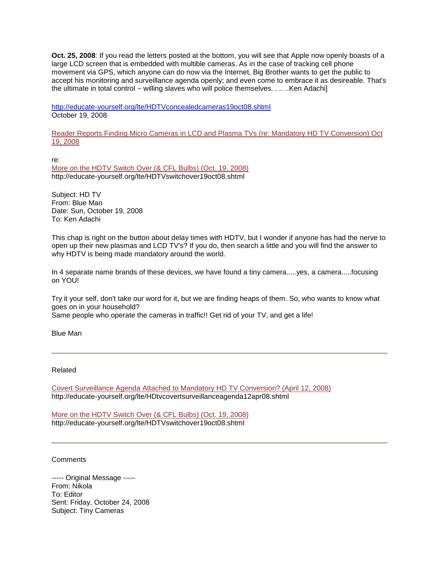**Oct. 25, 2008**: If you read the letters posted at the bottom, you will see that Apple now openly boasts of a large LCD screen that is embedded with multible cameras. As in the case of tracking cell phone movement via GPS, which anyone can do now via the Internet, Big Brother wants to get the public to accept his monitoring and surveillance agenda openly; and even come to embrace it as desireable. That's the ultimate in total control ~ willing slaves who will police themselves. . ... . Ken Adachi]

<http://educate-yourself.org/lte/HDTVconcealedcameras19oct08.shtml> October 19, 2008

[Reader Reports Finding Micro Cameras in LCD and Plasma TVs \(re: Mandatory HD TV Conversion\) Oct](http://educate-yourself.org/lte/HDTVconcealedcameras19oct08.shtml)  [19, 2008](http://educate-yourself.org/lte/HDTVconcealedcameras19oct08.shtml)

re:

[More on the HDTV Switch Over \(& CFL Bulbs\) \(Oct. 19, 2008\)](http://educate-yourself.org/lte/HDTVswitchover19oct08.shtml) http://educate-yourself.org/lte/HDTVswitchover19oct08.shtml

Subject: HD TV From: Blue Man Date: Sun, October 19, 2008 To: Ken Adachi

This chap is right on the button about delay times with HDTV, but I wonder if anyone has had the nerve to open up their new plasmas and LCD TV's? If you do, then search a little and you will find the answer to why HDTV is being made mandatory around the world.

In 4 separate name brands of these devices, we have found a tiny camera.....yes, a camera.....focusing on YOU!

Try it your self, don't take our word for it, but we are finding heaps of them. So, who wants to know what goes on in your household?

Same people who operate the cameras in traffic!! Get rid of your TV, and get a life!

Blue Man

Related

[Covert Surveillance Agenda Attached to Mandatory HD TV Conversion? \(April 12, 2008\)](http://educate-yourself.org/lte/HDtvcovertsurveillanceagenda12apr08.shtml)  http://educate-yourself.org/lte/HDtvcovertsurveillanceagenda12apr08.shtml

More on [the HDTV Switch Over \(& CFL Bulbs\) \(Oct. 19, 2008\)](http://educate-yourself.org/lte/HDTVswitchover19oct08.shtml) http://educate-yourself.org/lte/HDTVswitchover19oct08.shtml

**Comments** 

----- Original Message ----- From: Nikola To: Editor Sent: Friday, October 24, 2008 Subject: Tiny Cameras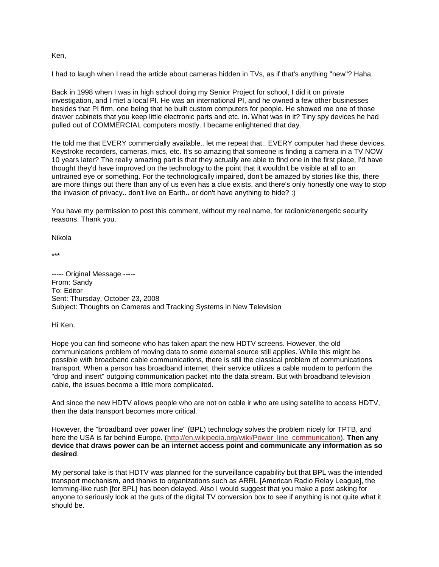Ken,

I had to laugh when I read the article about cameras hidden in TVs, as if that's anything "new"? Haha.

Back in 1998 when I was in high school doing my Senior Project for school, I did it on private investigation, and I met a local PI. He was an international PI, and he owned a few other businesses besides that PI firm, one being that he built custom computers for people. He showed me one of those drawer cabinets that you keep little electronic parts and etc. in. What was in it? Tiny spy devices he had pulled out of COMMERCIAL computers mostly. I became enlightened that day.

He told me that EVERY commercially available.. let me repeat that.. EVERY computer had these devices. Keystroke recorders, cameras, mics, etc. It's so amazing that someone is finding a camera in a TV NOW 10 years later? The really amazing part is that they actually are able to find one in the first place, I'd have thought they'd have improved on the technology to the point that it wouldn't be visible at all to an untrained eye or something. For the technologically impaired, don't be amazed by stories like this, there are more things out there than any of us even has a clue exists, and there's only honestly one way to stop the invasion of privacy.. don't live on Earth.. or don't have anything to hide? :)

You have my permission to post this comment, without my real name, for radionic/energetic security reasons. Thank you.

Nikola

\*\*\*

----- Original Message ----- From: Sandy To: Editor Sent: Thursday, October 23, 2008 Subject: Thoughts on Cameras and Tracking Systems in New Television

#### Hi Ken,

Hope you can find someone who has taken apart the new HDTV screens. However, the old communications problem of moving data to some external source still applies. While this might be possible with broadband cable communications, there is still the classical problem of communications transport. When a person has broadband internet, their service utilizes a cable modem to perform the "drop and insert" outgoing communication packet into the data stream. But with broadband television cable, the issues become a little more complicated.

And since the new HDTV allows people who are not on cable ir who are using satellite to access HDTV, then the data transport becomes more critical.

However, the "broadband over power line" (BPL) technology solves the problem nicely for TPTB, and here the USA is far behind Europe. [\(http://en.wikipedia.org/wiki/Power\\_line\\_communication\)](http://en.wikipedia.org/wiki/Power_line_communication). **Then any device that draws power can be an internet access point and communicate any information as so desired**.

My personal take is that HDTV was planned for the surveillance capability but that BPL was the intended transport mechanism, and thanks to organizations such as ARRL [American Radio Relay League], the lemming-like rush [for BPL] has been delayed. Also I would suggest that you make a post asking for anyone to seriously look at the guts of the digital TV conversion box to see if anything is not quite what it should be.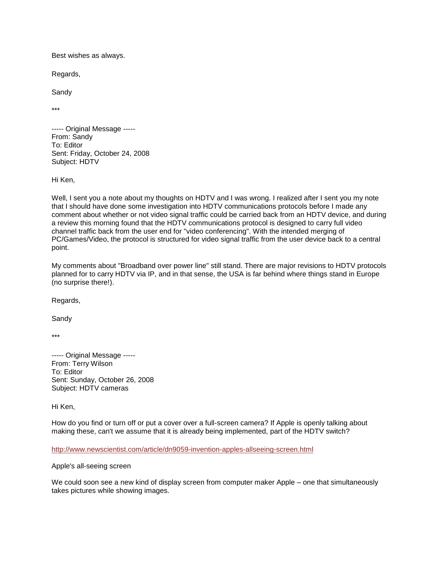Best wishes as always.

Regards,

Sandy

\*\*\*

----- Original Message ----- From: Sandy To: Editor Sent: Friday, October 24, 2008 Subject: HDTV

Hi Ken,

Well, I sent you a note about my thoughts on HDTV and I was wrong. I realized after I sent you my note that I should have done some investigation into HDTV communications protocols before I made any comment about whether or not video signal traffic could be carried back from an HDTV device, and during a review this morning found that the HDTV communications protocol is designed to carry full video channel traffic back from the user end for "video conferencing". With the intended merging of PC/Games/Video, the protocol is structured for video signal traffic from the user device back to a central point.

My comments about "Broadband over power line" still stand. There are major revisions to HDTV protocols planned for to carry HDTV via IP, and in that sense, the USA is far behind where things stand in Europe (no surprise there!).

Regards,

Sandy

\*\*\*

----- Original Message ----- From: Terry Wilson To: Editor Sent: Sunday, October 26, 2008 Subject: HDTV cameras

Hi Ken,

How do you find or turn off or put a cover over a full-screen camera? If Apple is openly talking about making these, can't we assume that it is already being implemented, part of the HDTV switch?

#### <http://www.newscientist.com/article/dn9059-invention-apples-allseeing-screen.html>

Apple's all-seeing screen

We could soon see a new kind of display screen from computer maker Apple – one that simultaneously takes pictures while showing images.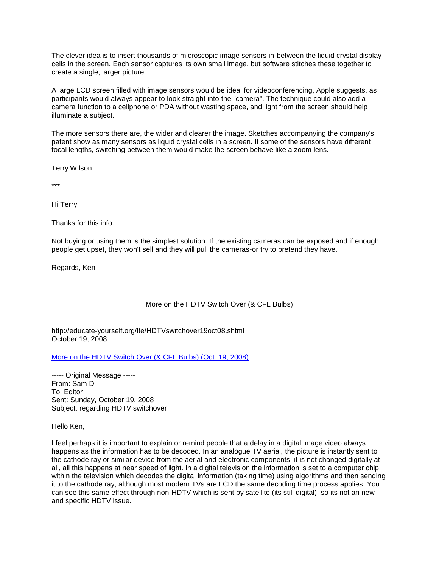The clever idea is to insert thousands of microscopic image sensors in-between the liquid crystal display cells in the screen. Each sensor captures its own small image, but software stitches these together to create a single, larger picture.

A large LCD screen filled with image sensors would be ideal for videoconferencing, Apple suggests, as participants would always appear to look straight into the "camera". The technique could also add a camera function to a cellphone or PDA without wasting space, and light from the screen should help illuminate a subject.

The more sensors there are, the wider and clearer the image. Sketches accompanying the company's patent show as many sensors as liquid crystal cells in a screen. If some of the sensors have different focal lengths, switching between them would make the screen behave like a zoom lens.

Terry Wilson

\*\*\*

Hi Terry,

Thanks for this info.

Not buying or using them is the simplest solution. If the existing cameras can be exposed and if enough people get upset, they won't sell and they will pull the cameras-or try to pretend they have.

Regards, Ken

#### More on the HDTV Switch Over (& CFL Bulbs)

http://educate-yourself.org/lte/HDTVswitchover19oct08.shtml October 19, 2008

[More on the HDTV Switch Over \(& CFL Bulbs\) \(Oct. 19, 2008\)](http://educate-yourself.org/lte/HDTVswitchover19oct08.shtml)

----- Original Message ----- From: Sam D To: Editor Sent: Sunday, October 19, 2008 Subject: regarding HDTV switchover

Hello Ken,

I feel perhaps it is important to explain or remind people that a delay in a digital image video always happens as the information has to be decoded. In an analogue TV aerial, the picture is instantly sent to the cathode ray or similar device from the aerial and electronic components, it is not changed digitally at all, all this happens at near speed of light. In a digital television the information is set to a computer chip within the television which decodes the digital information (taking time) using algorithms and then sending it to the cathode ray, although most modern TVs are LCD the same decoding time process applies. You can see this same effect through non-HDTV which is sent by satellite (its still digital), so its not an new and specific HDTV issue.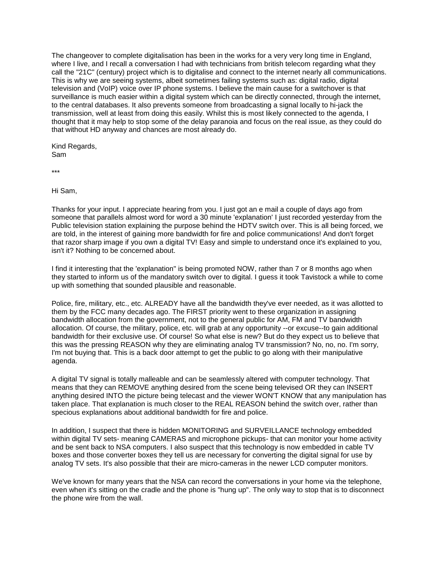The changeover to complete digitalisation has been in the works for a very very long time in England, where I live, and I recall a conversation I had with technicians from british telecom regarding what they call the "21C" (century) project which is to digitalise and connect to the internet nearly all communications. This is why we are seeing systems, albeit sometimes failing systems such as: digital radio, digital television and (VoIP) voice over IP phone systems. I believe the main cause for a switchover is that surveillance is much easier within a digital system which can be directly connected, through the internet, to the central databases. It also prevents someone from broadcasting a signal locally to hi-jack the transmission, well at least from doing this easily. Whilst this is most likely connected to the agenda, I thought that it may help to stop some of the delay paranoia and focus on the real issue, as they could do that without HD anyway and chances are most already do.

Kind Regards, Sam

\*\*\*

Hi Sam,

Thanks for your input. I appreciate hearing from you. I just got an e mail a couple of days ago from someone that parallels almost word for word a 30 minute 'explanation' I just recorded yesterday from the Public television station explaining the purpose behind the HDTV switch over. This is all being forced, we are told, in the interest of gaining more bandwidth for fire and police communications! And don't forget that razor sharp image if you own a digital TV! Easy and simple to understand once it's explained to you, isn't it? Nothing to be concerned about.

I find it interesting that the 'explanation" is being promoted NOW, rather than 7 or 8 months ago when they started to inform us of the mandatory switch over to digital. I guess it took Tavistock a while to come up with something that sounded plausible and reasonable.

Police, fire, military, etc., etc. ALREADY have all the bandwidth they've ever needed, as it was allotted to them by the FCC many decades ago. The FIRST priority went to these organization in assigning bandwidth allocation from the government, not to the general public for AM, FM and TV bandwidth allocation. Of course, the military, police, etc. will grab at any opportunity --or excuse--to gain additional bandwidth for their exclusive use. Of course! So what else is new? But do they expect us to believe that this was the pressing REASON why they are eliminating analog TV transmission? No, no, no. I'm sorry, I'm not buying that. This is a back door attempt to get the public to go along with their manipulative agenda.

A digital TV signal is totally malleable and can be seamlessly altered with computer technology. That means that they can REMOVE anything desired from the scene being televised OR they can INSERT anything desired INTO the picture being telecast and the viewer WON'T KNOW that any manipulation has taken place. That explanation is much closer to the REAL REASON behind the switch over, rather than specious explanations about additional bandwidth for fire and police.

In addition, I suspect that there is hidden MONITORING and SURVEILLANCE technology embedded within digital TV sets- meaning CAMERAS and microphone pickups- that can monitor your home activity and be sent back to NSA computers. I also suspect that this technology is now embedded in cable TV boxes and those converter boxes they tell us are necessary for converting the digital signal for use by analog TV sets. It's also possible that their are micro-cameras in the newer LCD computer monitors.

We've known for many years that the NSA can record the conversations in your home via the telephone, even when it's sitting on the cradle and the phone is "hung up". The only way to stop that is to disconnect the phone wire from the wall.